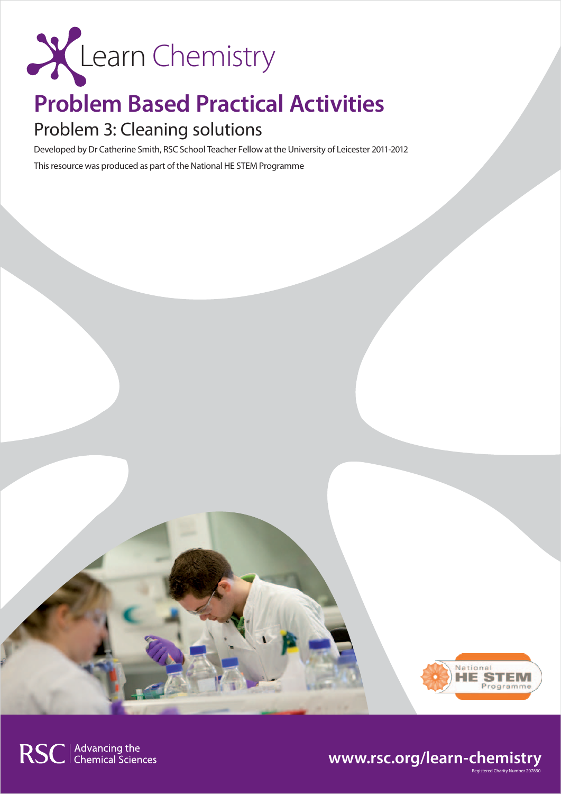

## **Problem Based Practical Activities**

## Problem 3: Cleaning solutions

Developed by Dr Catherine Smith, RSC School Teacher Fellow at the University of Leicester 2011-2012 This resource was produced as part of the National HE STEM Programme



### **www.rsc.org/learn-chemistry**

Registered Charity Number 207890

RSC | Advancing the<br>
Chemical Sciences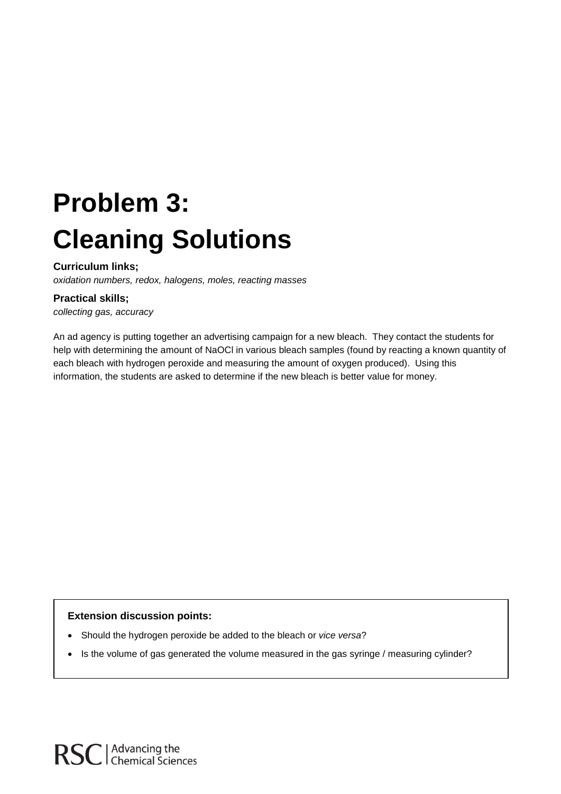# **Problem 3: Cleaning Solutions**

#### **Curriculum links;**

*oxidation numbers, redox, halogens, moles, reacting masses*

#### **Practical skills;**

*collecting gas, accuracy*

An ad agency is putting together an advertising campaign for a new bleach. They contact the students for help with determining the amount of NaOCl in various bleach samples (found by reacting a known quantity of each bleach with hydrogen peroxide and measuring the amount of oxygen produced). Using this information, the students are asked to determine if the new bleach is better value for money.

#### **Extension discussion points:**

- Should the hydrogen peroxide be added to the bleach or *vice versa*?
- Is the volume of gas generated the volume measured in the gas syringe / measuring cylinder?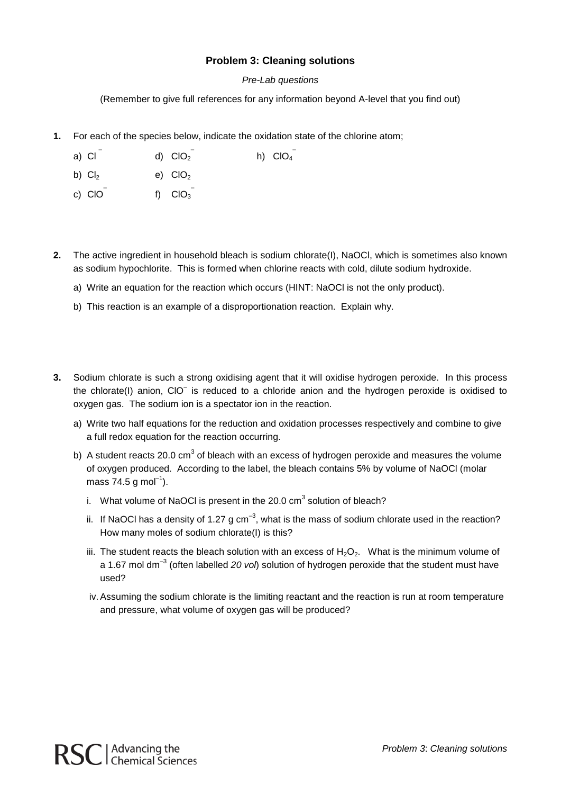#### **Problem 3: Cleaning solutions**

#### *Pre-Lab questions*

(Remember to give full references for any information beyond A-level that you find out)

**1.** For each of the species below, indicate the oxidation state of the chlorine atom;

| a) CI | d) $CIO2$ | h) $ClO4$ |
|-------|-----------|-----------|

- b)  $Cl<sub>2</sub>$  e)  $ClO<sub>2</sub>$
- c)  $CIO$  f)  $CIO_3$
- **2.** The active ingredient in household bleach is sodium chlorate(I), NaOCl, which is sometimes also known as sodium hypochlorite. This is formed when chlorine reacts with cold, dilute sodium hydroxide.
	- a) Write an equation for the reaction which occurs (HINT: NaOCl is not the only product).
	- b) This reaction is an example of a disproportionation reaction. Explain why.
- **3.** Sodium chlorate is such a strong oxidising agent that it will oxidise hydrogen peroxide. In this process the chlorate(I) anion, ClO– is reduced to a chloride anion and the hydrogen peroxide is oxidised to oxygen gas. The sodium ion is a spectator ion in the reaction.
	- a) Write two half equations for the reduction and oxidation processes respectively and combine to give a full redox equation for the reaction occurring.
	- b) A student reacts 20.0  $cm<sup>3</sup>$  of bleach with an excess of hydrogen peroxide and measures the volume of oxygen produced. According to the label, the bleach contains 5% by volume of NaOCl (molar mass 74.5 g mol<sup>-1</sup>).
		- i. What volume of NaOCI is present in the 20.0  $\text{cm}^3$  solution of bleach?
		- ii. If NaOCI has a density of 1.27 g cm<sup>-3</sup>, what is the mass of sodium chlorate used in the reaction? How many moles of sodium chlorate(I) is this?
		- iii. The student reacts the bleach solution with an excess of  $H_2O_2$ . What is the minimum volume of a 1.67 mol dm–3 (often labelled *20 vol*) solution of hydrogen peroxide that the student must have used?
		- iv. Assuming the sodium chlorate is the limiting reactant and the reaction is run at room temperature and pressure, what volume of oxygen gas will be produced?

RSC | Advancing the<br>RSC | Chemical Sciences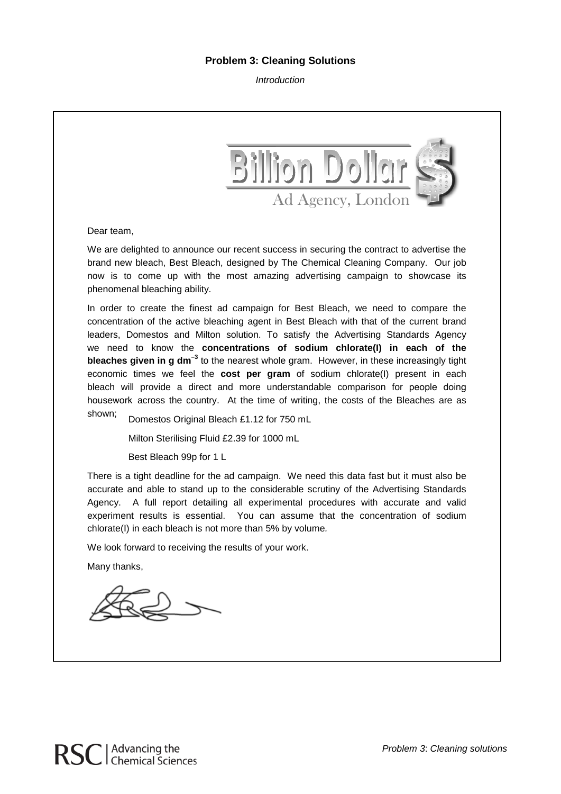#### **Problem 3: Cleaning Solutions**

*Introduction*



Dear team,

We are delighted to announce our recent success in securing the contract to advertise the brand new bleach, Best Bleach, designed by The Chemical Cleaning Company. Our job now is to come up with the most amazing advertising campaign to showcase its phenomenal bleaching ability.

In order to create the finest ad campaign for Best Bleach, we need to compare the concentration of the active bleaching agent in Best Bleach with that of the current brand leaders, Domestos and Milton solution. To satisfy the Advertising Standards Agency we need to know the **concentrations of sodium chlorate(I) in each of the bleaches given in g dm–3** to the nearest whole gram. However, in these increasingly tight economic times we feel the **cost per gram** of sodium chlorate(I) present in each bleach will provide a direct and more understandable comparison for people doing housework across the country. At the time of writing, the costs of the Bleaches are as

shown; Domestos Original Bleach £1.12 for 750 mL

Milton Sterilising Fluid £2.39 for 1000 mL

Best Bleach 99p for 1 L

There is a tight deadline for the ad campaign. We need this data fast but it must also be accurate and able to stand up to the considerable scrutiny of the Advertising Standards Agency. A full report detailing all experimental procedures with accurate and valid experiment results is essential. You can assume that the concentration of sodium chlorate(I) in each bleach is not more than 5% by volume*.*

We look forward to receiving the results of your work.

Many thanks,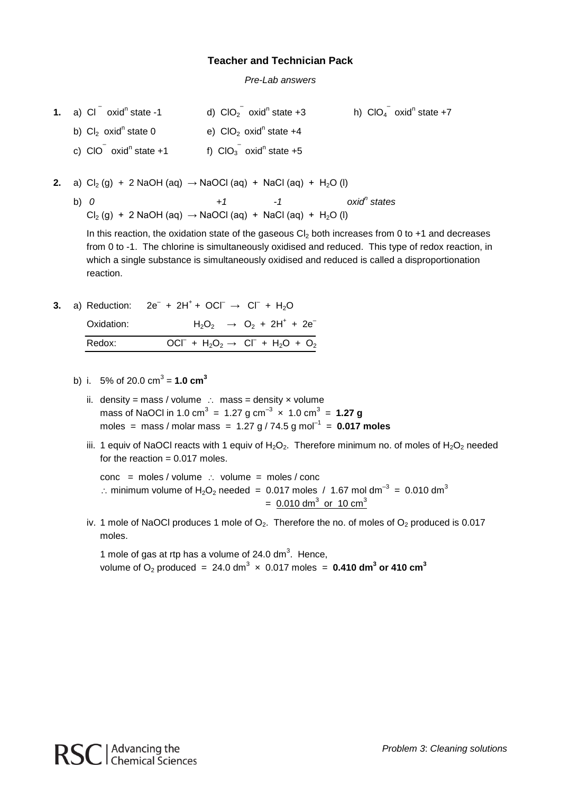#### **Teacher and Technician Pack**

*Pre-Lab answers*

- **1.** a) Cl  $^-$  oxid<sup>n</sup> state -1 d) ClO<sub>2</sub> oxid<sup>n</sup> state +3 h) ClO<sub>4</sub>  $\overline{\phantom{a}}$  oxid<sup>n</sup> state +7 b)  $Cl_2$  oxid<sup>n</sup> state 0 e)  $ClO_2$  oxid<sup>n</sup> state +4 c)  $CIO$  oxid<sup>n</sup> state +1 oxid<sup>n</sup> state +1 f)  $CIO_3^{\dagger}$  oxid<sup>n</sup> state +5
- **2.** a)  $Cl_2(g) + 2$  NaOH (aq)  $\rightarrow$  NaOCl (aq) + NaCl (aq) + H<sub>2</sub>O (l)
	- b) *0 +1 -1 oxidn states*  $Cl<sub>2</sub>(g) + 2$  NaOH (aq)  $\rightarrow$  NaOCl (aq) + NaCl (aq) + H<sub>2</sub>O (l)

In this reaction, the oxidation state of the gaseous  $Cl_2$  both increases from 0 to +1 and decreases from 0 to -1. The chlorine is simultaneously oxidised and reduced. This type of redox reaction, in which a single substance is simultaneously oxidised and reduced is called a disproportionation reaction.

- **3.** a) Reduction:  $2e^- + 2H^+ + OCl^- \rightarrow Cl^- + H_2O$ Oxidation:  $H_2O_2 \rightarrow O_2 + 2H^+ + 2e^-$ Redox:  $+ H_2O_2 \rightarrow Cl^- + H_2O + O_2$ 
	- b) i. 5% of 20.0  $cm^3 = 1.0$  cm<sup>3</sup>
		- ii. density = mass / volume ∴ mass = density  $\times$  volume mass of NaOCl in 1.0 cm $^3$  = 1.27 g cm $^{-3}$   $\times$  1.0 cm $^3$  = **1.27 g** moles = mass / molar mass =  $1.27 g / 74.5 g$  mol<sup>-1</sup> = **0.017 moles**
		- iii. 1 equiv of NaOCI reacts with 1 equiv of  $H_2O_2$ . Therefore minimum no. of moles of  $H_2O_2$  needed for the reaction  $= 0.017$  moles.

 $cone$  = moles / volume  $\therefore$  volume = moles / conc ∴ minimum volume of H<sub>2</sub>O<sub>2</sub> needed = 0.017 moles / 1.67 mol dm<sup>-3</sup> = 0.010 dm<sup>3</sup>  $= 0.010$  dm<sup>3</sup> or 10 cm<sup>3</sup>

iv. 1 mole of NaOCl produces 1 mole of  $O_2$ . Therefore the no. of moles of  $O_2$  produced is 0.017 moles.

1 mole of gas at rtp has a volume of 24.0  $dm<sup>3</sup>$ . Hence, volume of O<sub>2</sub> produced = 24.0 dm $^3$   $\times$  0.017 moles = **0.410 dm** $^3$  **or 410 cm** $^3$ 

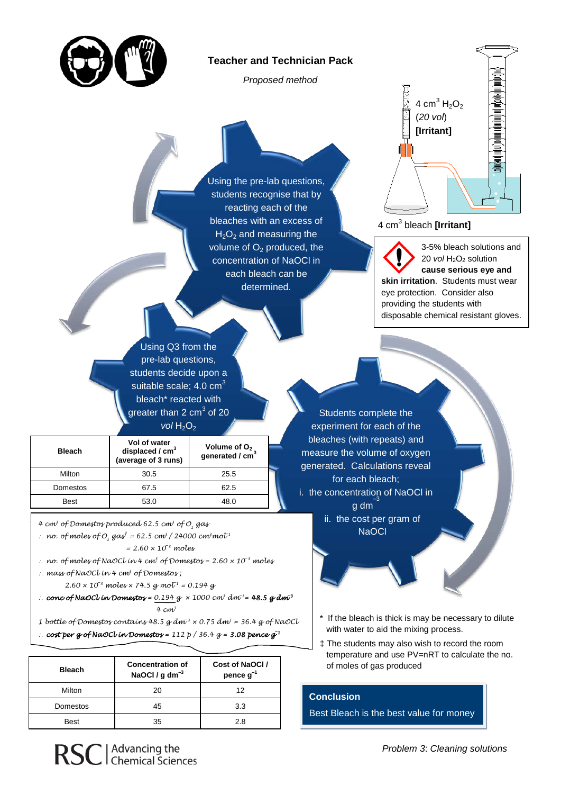

#### **Teacher and Technician Pack**

*Proposed method*

Using the pre-lab questions, students recognise that by reacting each of the bleaches with an excess of  $H<sub>2</sub>O<sub>2</sub>$  and measuring the volume of  $O<sub>2</sub>$  produced, the concentration of NaOCl in each bleach can be determined.



4 cm<sup>3</sup> bleach **[Irritant]**

3-5% bleach solutions and 20 *vol* H<sub>2</sub>O<sub>2</sub> solution **cause serious eye and skin irritation**. Students must wear eye protection. Consider also providing the students with disposable chemical resistant gloves.

Using Q3 from the pre-lab questions, students decide upon a suitable scale;  $4.0 \text{ cm}^3$ bleach\* reacted with greater than 2  $cm<sup>3</sup>$  of 20

#### *vol* H<sub>2</sub>O<sub>2</sub>

|               | Vol of water                             | Volume of $O2$<br>generated / cm <sup>3</sup> |  |
|---------------|------------------------------------------|-----------------------------------------------|--|
| <b>Bleach</b> | displaced / $cm3$<br>(average of 3 runs) |                                               |  |
| Milton        | 30.5                                     | 25.5                                          |  |
| Domestos      | 67.5                                     | 62.5                                          |  |
| <b>Best</b>   | 53.0                                     | 48.0                                          |  |

*4 cm<sup>3</sup> of Domestos produced 62.5 cm<sup>3</sup> of 0, gas* 

∴ *no.* of moles of 0<sub>2</sub> gas<sup>†</sup> = 62.5 cm<sup>3</sup> / 24000 cm<sup>3</sup> mol<sup>-1</sup>

*= 2.60 × 10*–*<sup>3</sup> moles*

∴ *no. of moles of NaOCl in 4 cm3 of Domestos = 2.60 × 10*–*<sup>3</sup> moles*

∴ *mass of NaOCl in 4 cm3 of Domestos ;* 

 $2.60 \times 10^{-3}$  moles  $\times$  74.5 g mol<sup>1</sup> = 0.194 g

∴ *conc of NaOCl in Domestos = 0.194 g × 1000 cm<sup>3</sup> dm*–*<sup>3</sup> = 48.5 g dm***–***<sup>3</sup> 4 cm3*

1 bottle of Domestos contains  $48.5$  g dm<sup>3</sup>  $\times$  0.75 dm<sup>3</sup> = 36.4 g of NaOCl

∴ *cost per g of NaOCl in Domestos = 112 p / 36.4 g = 3.08 pence g***–***<sup>1</sup>* 

| <b>Bleach</b> | <b>Concentration of</b><br>NaOCl / $g dm^{-3}$ | Cost of NaOCI/<br>pence $g^{-1}$ |  |
|---------------|------------------------------------------------|----------------------------------|--|
| Milton        | 20                                             | 12                               |  |
| Domestos      | 45                                             | 3.3                              |  |
| <b>Best</b>   | 35                                             | 2.8                              |  |

experiment for each of the bleaches (with repeats) and measure the volume of oxygen generated. Calculations reveal for each bleach; i. the concentration of NaOCl in  $\overline{g}$  dm $\overline{g}$ ii. the cost per gram of **NaOCl** 

Students complete the

- \* If the bleach is thick is may be necessary to dilute with water to aid the mixing process.
- ‡ The students may also wish to record the room temperature and use PV=nRT to calculate the no. of moles of gas produced

#### **Conclusion**

Best Bleach is the best value for money